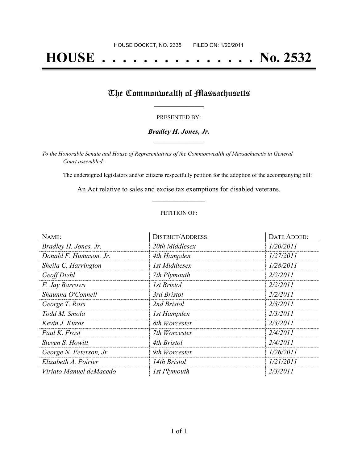# **HOUSE . . . . . . . . . . . . . . . No. 2532**

## The Commonwealth of Massachusetts

#### PRESENTED BY:

#### *Bradley H. Jones, Jr.* **\_\_\_\_\_\_\_\_\_\_\_\_\_\_\_\_\_**

*To the Honorable Senate and House of Representatives of the Commonwealth of Massachusetts in General Court assembled:*

The undersigned legislators and/or citizens respectfully petition for the adoption of the accompanying bill:

An Act relative to sales and excise tax exemptions for disabled veterans. **\_\_\_\_\_\_\_\_\_\_\_\_\_\_\_**

#### PETITION OF:

| NAME:                   | <b>DISTRICT/ADDRESS:</b> | DATE ADDED: |
|-------------------------|--------------------------|-------------|
| Bradley H. Jones, Jr.   | 20th Middlesex           | 1/20/2011   |
| Donald F. Humason, Jr.  | 4th Hampden              | 1/27/2011   |
| Sheila C. Harrington    | 1st Middlesex            | 1/28/2011   |
| Geoff Diehl             | 7th Plymouth             | 2/2/2011    |
| F. Jay Barrows          | <i>Ist Bristol</i>       | 2/2/2011    |
| Shaunna O'Connell       | 3rd Bristol              | 2/2/2011    |
| George T. Ross          | 2nd Bristol              | 2/3/2011    |
| Todd M. Smola           | 1st Hampden              | 2/3/2011    |
| Kevin J. Kuros          | 8th Worcester            | 2/3/2011    |
| Paul K. Frost           | 7th Worcester            | 2/4/2011    |
| Steven S. Howitt        | 4th Bristol              | 2/4/2011    |
| George N. Peterson, Jr. | 9th Worcester            | 1/26/2011   |
| Elizabeth A. Poirier    | 14th Bristol             | 1/21/2011   |
| Viriato Manuel deMacedo | 1st Plymouth             | 2/3/2011    |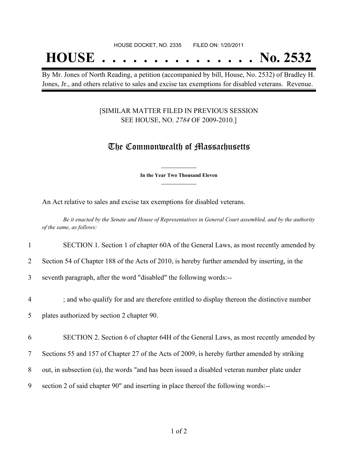## **HOUSE . . . . . . . . . . . . . . . No. 2532**

By Mr. Jones of North Reading, a petition (accompanied by bill, House, No. 2532) of Bradley H. Jones, Jr., and others relative to sales and excise tax exemptions for disabled veterans. Revenue.

#### [SIMILAR MATTER FILED IN PREVIOUS SESSION SEE HOUSE, NO. *2784* OF 2009-2010.]

### The Commonwealth of Massachusetts

**\_\_\_\_\_\_\_\_\_\_\_\_\_\_\_ In the Year Two Thousand Eleven \_\_\_\_\_\_\_\_\_\_\_\_\_\_\_**

An Act relative to sales and excise tax exemptions for disabled veterans.

Be it enacted by the Senate and House of Representatives in General Court assembled, and by the authority *of the same, as follows:*

1 SECTION 1. Section 1 of chapter 60A of the General Laws, as most recently amended by

2 Section 54 of Chapter 188 of the Acts of 2010, is hereby further amended by inserting, in the

3 seventh paragraph, after the word "disabled" the following words:--

4 ; and who qualify for and are therefore entitled to display thereon the distinctive number

5 plates authorized by section 2 chapter 90.

6 SECTION 2. Section 6 of chapter 64H of the General Laws, as most recently amended by

7 Sections 55 and 157 of Chapter 27 of the Acts of 2009, is hereby further amended by striking

8 out, in subsection (u), the words "and has been issued a disabled veteran number plate under

9 section 2 of said chapter 90" and inserting in place thereof the following words:--